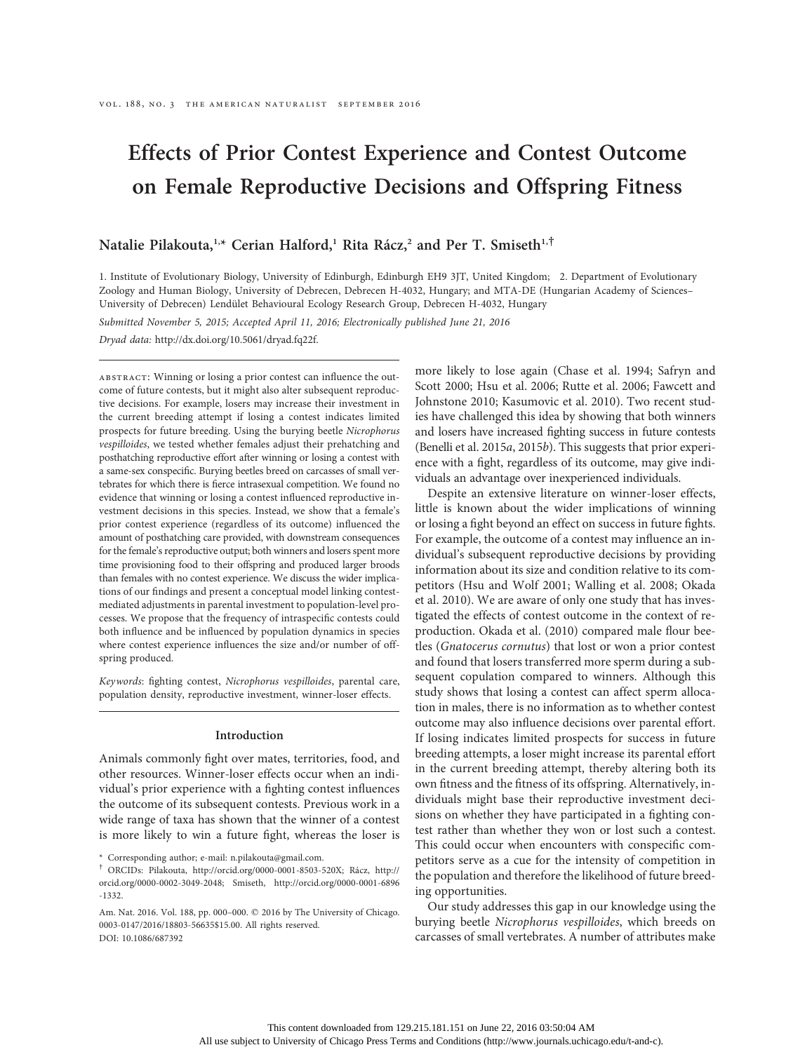# Effects of Prior Contest Experience and Contest Outcome on Female Reproductive Decisions and Offspring Fitness

## Natalie Pilakouta,<sup>1,\*</sup> Cerian Halford,<sup>1</sup> Rita Rácz,<sup>2</sup> and Per T. Smiseth<sup>1,†</sup>

1. Institute of Evolutionary Biology, University of Edinburgh, Edinburgh EH9 3JT, United Kingdom; 2. Department of Evolutionary Zoology and Human Biology, University of Debrecen, Debrecen H-4032, Hungary; and MTA-DE (Hungarian Academy of Sciences– University of Debrecen) Lendület Behavioural Ecology Research Group, Debrecen H-4032, Hungary

Submitted November 5, 2015; Accepted April 11, 2016; Electronically published June 21, 2016 Dryad data: http://dx.doi.org/10.5061/dryad.fq22f.

abstract: Winning or losing a prior contest can influence the outcome of future contests, but it might also alter subsequent reproductive decisions. For example, losers may increase their investment in the current breeding attempt if losing a contest indicates limited prospects for future breeding. Using the burying beetle Nicrophorus vespilloides, we tested whether females adjust their prehatching and posthatching reproductive effort after winning or losing a contest with a same-sex conspecific. Burying beetles breed on carcasses of small vertebrates for which there is fierce intrasexual competition. We found no evidence that winning or losing a contest influenced reproductive investment decisions in this species. Instead, we show that a female's prior contest experience (regardless of its outcome) influenced the amount of posthatching care provided, with downstream consequences for the female's reproductive output; both winners and losers spent more time provisioning food to their offspring and produced larger broods than females with no contest experience. We discuss the wider implications of our findings and present a conceptual model linking contestmediated adjustments in parental investment to population-level processes. We propose that the frequency of intraspecific contests could both influence and be influenced by population dynamics in species where contest experience influences the size and/or number of offspring produced.

Keywords: fighting contest, Nicrophorus vespilloides, parental care, population density, reproductive investment, winner-loser effects.

#### Introduction

Animals commonly fight over mates, territories, food, and other resources. Winner-loser effects occur when an individual's prior experience with a fighting contest influences the outcome of its subsequent contests. Previous work in a wide range of taxa has shown that the winner of a contest is more likely to win a future fight, whereas the loser is more likely to lose again (Chase et al. 1994; Safryn and Scott 2000; Hsu et al. 2006; Rutte et al. 2006; Fawcett and Johnstone 2010; Kasumovic et al. 2010). Two recent studies have challenged this idea by showing that both winners and losers have increased fighting success in future contests (Benelli et al. 2015a, 2015b). This suggests that prior experience with a fight, regardless of its outcome, may give individuals an advantage over inexperienced individuals.

Despite an extensive literature on winner-loser effects, little is known about the wider implications of winning or losing a fight beyond an effect on success in future fights. For example, the outcome of a contest may influence an individual's subsequent reproductive decisions by providing information about its size and condition relative to its competitors (Hsu and Wolf 2001; Walling et al. 2008; Okada et al. 2010). We are aware of only one study that has investigated the effects of contest outcome in the context of reproduction. Okada et al. (2010) compared male flour beetles (Gnatocerus cornutus) that lost or won a prior contest and found that losers transferred more sperm during a subsequent copulation compared to winners. Although this study shows that losing a contest can affect sperm allocation in males, there is no information as to whether contest outcome may also influence decisions over parental effort. If losing indicates limited prospects for success in future breeding attempts, a loser might increase its parental effort in the current breeding attempt, thereby altering both its own fitness and the fitness of its offspring. Alternatively, individuals might base their reproductive investment decisions on whether they have participated in a fighting contest rather than whether they won or lost such a contest. This could occur when encounters with conspecific competitors serve as a cue for the intensity of competition in the population and therefore the likelihood of future breeding opportunities.

Our study addresses this gap in our knowledge using the burying beetle Nicrophorus vespilloides, which breeds on carcasses of small vertebrates. A number of attributes make

<sup>\*</sup> Corresponding author; e-mail: n.pilakouta@gmail.com.

<sup>†</sup> ORCIDs: Pilakouta, http://orcid.org/0000-0001-8503-520X; Rácz, http:// orcid.org/0000-0002-3049-2048; Smiseth, http://orcid.org/0000-0001-6896 -1332.

Am. Nat. 2016. Vol. 188, pp. 000–000.  $\odot$  2016 by The University of Chicago. 0003-0147/2016/18803-56635\$15.00. All rights reserved. DOI: 10.1086/687392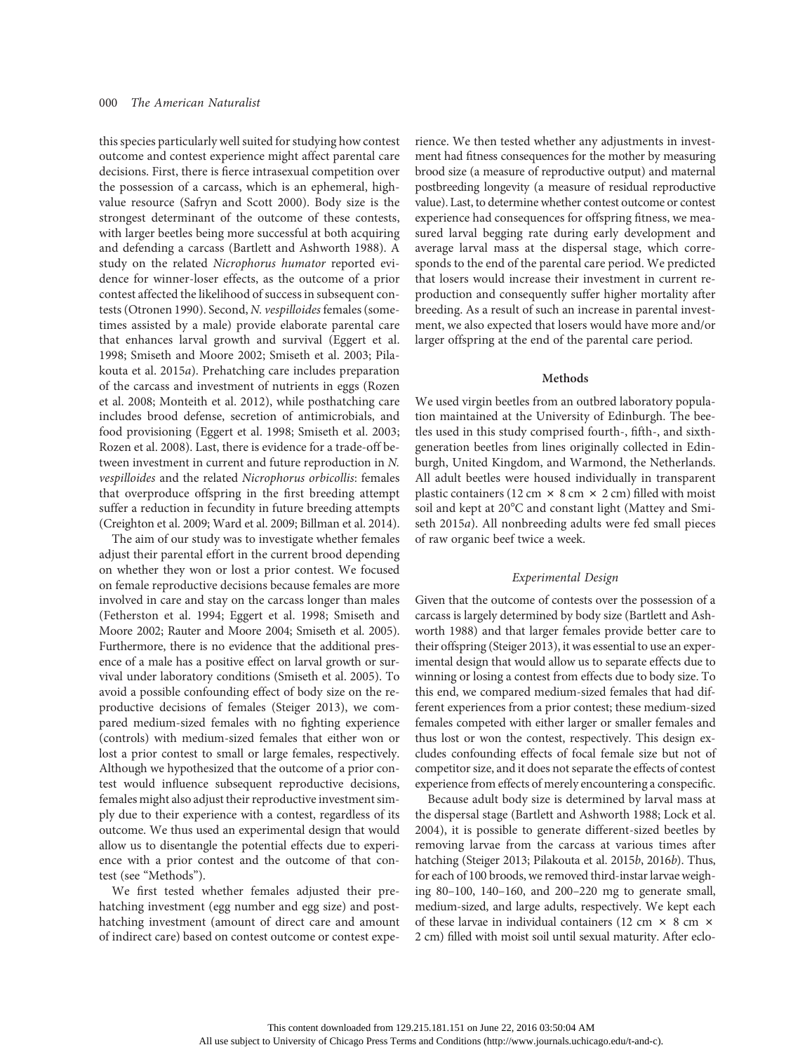this species particularly well suited for studying how contest outcome and contest experience might affect parental care decisions. First, there is fierce intrasexual competition over the possession of a carcass, which is an ephemeral, highvalue resource (Safryn and Scott 2000). Body size is the strongest determinant of the outcome of these contests, with larger beetles being more successful at both acquiring and defending a carcass (Bartlett and Ashworth 1988). A study on the related Nicrophorus humator reported evidence for winner-loser effects, as the outcome of a prior contest affected the likelihood of success in subsequent contests (Otronen 1990). Second, N. vespilloides females (sometimes assisted by a male) provide elaborate parental care that enhances larval growth and survival (Eggert et al. 1998; Smiseth and Moore 2002; Smiseth et al. 2003; Pilakouta et al. 2015a). Prehatching care includes preparation of the carcass and investment of nutrients in eggs (Rozen et al. 2008; Monteith et al. 2012), while posthatching care includes brood defense, secretion of antimicrobials, and food provisioning (Eggert et al. 1998; Smiseth et al. 2003; Rozen et al. 2008). Last, there is evidence for a trade-off between investment in current and future reproduction in N. vespilloides and the related Nicrophorus orbicollis: females that overproduce offspring in the first breeding attempt suffer a reduction in fecundity in future breeding attempts (Creighton et al. 2009; Ward et al. 2009; Billman et al. 2014).

The aim of our study was to investigate whether females adjust their parental effort in the current brood depending on whether they won or lost a prior contest. We focused on female reproductive decisions because females are more involved in care and stay on the carcass longer than males (Fetherston et al. 1994; Eggert et al. 1998; Smiseth and Moore 2002; Rauter and Moore 2004; Smiseth et al. 2005). Furthermore, there is no evidence that the additional presence of a male has a positive effect on larval growth or survival under laboratory conditions (Smiseth et al. 2005). To avoid a possible confounding effect of body size on the reproductive decisions of females (Steiger 2013), we compared medium-sized females with no fighting experience (controls) with medium-sized females that either won or lost a prior contest to small or large females, respectively. Although we hypothesized that the outcome of a prior contest would influence subsequent reproductive decisions, females might also adjust their reproductive investment simply due to their experience with a contest, regardless of its outcome. We thus used an experimental design that would allow us to disentangle the potential effects due to experience with a prior contest and the outcome of that contest (see "Methods").

We first tested whether females adjusted their prehatching investment (egg number and egg size) and posthatching investment (amount of direct care and amount of indirect care) based on contest outcome or contest experience. We then tested whether any adjustments in investment had fitness consequences for the mother by measuring brood size (a measure of reproductive output) and maternal postbreeding longevity (a measure of residual reproductive value). Last, to determine whether contest outcome or contest experience had consequences for offspring fitness, we measured larval begging rate during early development and average larval mass at the dispersal stage, which corresponds to the end of the parental care period. We predicted that losers would increase their investment in current reproduction and consequently suffer higher mortality after breeding. As a result of such an increase in parental investment, we also expected that losers would have more and/or larger offspring at the end of the parental care period.

#### Methods

We used virgin beetles from an outbred laboratory population maintained at the University of Edinburgh. The beetles used in this study comprised fourth-, fifth-, and sixthgeneration beetles from lines originally collected in Edinburgh, United Kingdom, and Warmond, the Netherlands. All adult beetles were housed individually in transparent plastic containers (12 cm  $\times$  8 cm  $\times$  2 cm) filled with moist soil and kept at 20°C and constant light (Mattey and Smiseth 2015a). All nonbreeding adults were fed small pieces of raw organic beef twice a week.

## Experimental Design

Given that the outcome of contests over the possession of a carcass is largely determined by body size (Bartlett and Ashworth 1988) and that larger females provide better care to their offspring (Steiger 2013), it was essential to use an experimental design that would allow us to separate effects due to winning or losing a contest from effects due to body size. To this end, we compared medium-sized females that had different experiences from a prior contest; these medium-sized females competed with either larger or smaller females and thus lost or won the contest, respectively. This design excludes confounding effects of focal female size but not of competitor size, and it does not separate the effects of contest experience from effects of merely encountering a conspecific.

Because adult body size is determined by larval mass at the dispersal stage (Bartlett and Ashworth 1988; Lock et al. 2004), it is possible to generate different-sized beetles by removing larvae from the carcass at various times after hatching (Steiger 2013; Pilakouta et al. 2015b, 2016b). Thus, for each of 100 broods, we removed third-instar larvae weighing 80–100, 140–160, and 200–220 mg to generate small, medium-sized, and large adults, respectively. We kept each of these larvae in individual containers (12 cm  $\times$  8 cm  $\times$ 2 cm) filled with moist soil until sexual maturity. After eclo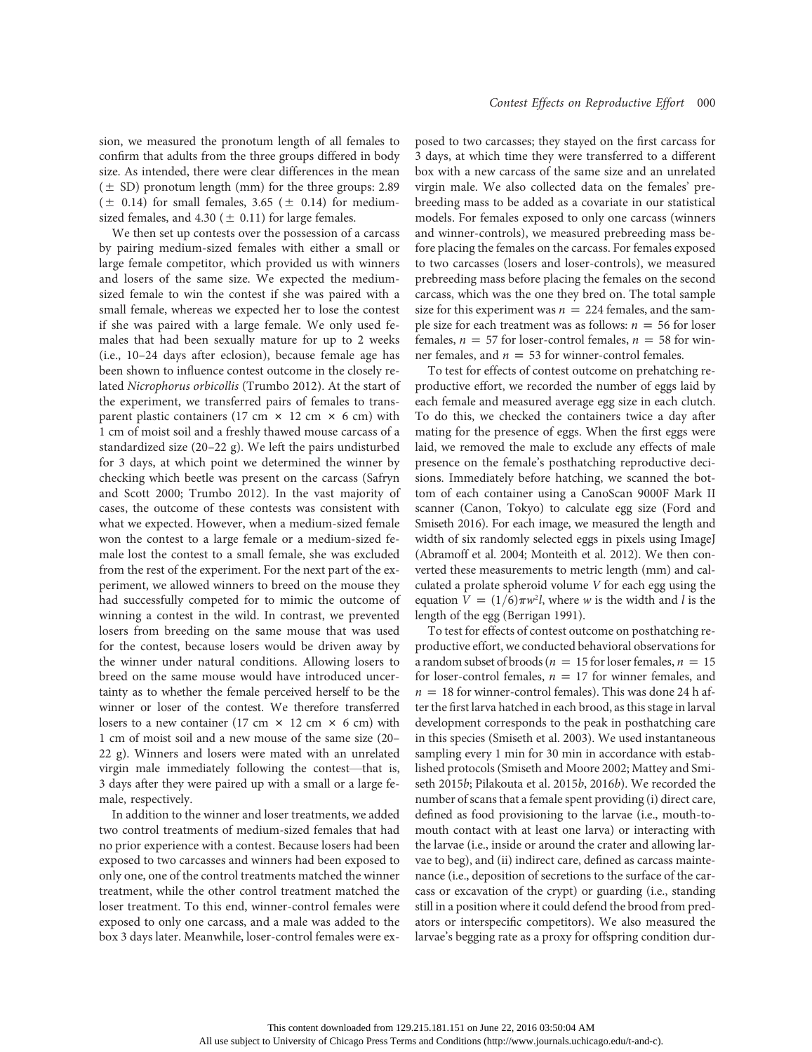sion, we measured the pronotum length of all females to confirm that adults from the three groups differed in body size. As intended, there were clear differences in the mean  $(\pm$  SD) pronotum length (mm) for the three groups: 2.89  $(\pm 0.14)$  for small females, 3.65 ( $\pm 0.14$ ) for mediumsized females, and 4.30 ( $\pm$  0.11) for large females.

We then set up contests over the possession of a carcass by pairing medium-sized females with either a small or large female competitor, which provided us with winners and losers of the same size. We expected the mediumsized female to win the contest if she was paired with a small female, whereas we expected her to lose the contest if she was paired with a large female. We only used females that had been sexually mature for up to 2 weeks (i.e., 10–24 days after eclosion), because female age has been shown to influence contest outcome in the closely related Nicrophorus orbicollis (Trumbo 2012). At the start of the experiment, we transferred pairs of females to transparent plastic containers (17 cm  $\times$  12 cm  $\times$  6 cm) with 1 cm of moist soil and a freshly thawed mouse carcass of a standardized size (20–22 g). We left the pairs undisturbed for 3 days, at which point we determined the winner by checking which beetle was present on the carcass (Safryn and Scott 2000; Trumbo 2012). In the vast majority of cases, the outcome of these contests was consistent with what we expected. However, when a medium-sized female won the contest to a large female or a medium-sized female lost the contest to a small female, she was excluded from the rest of the experiment. For the next part of the experiment, we allowed winners to breed on the mouse they had successfully competed for to mimic the outcome of winning a contest in the wild. In contrast, we prevented losers from breeding on the same mouse that was used for the contest, because losers would be driven away by the winner under natural conditions. Allowing losers to breed on the same mouse would have introduced uncertainty as to whether the female perceived herself to be the winner or loser of the contest. We therefore transferred losers to a new container (17 cm  $\times$  12 cm  $\times$  6 cm) with 1 cm of moist soil and a new mouse of the same size (20– 22 g). Winners and losers were mated with an unrelated virgin male immediately following the contest—that is, 3 days after they were paired up with a small or a large female, respectively.

In addition to the winner and loser treatments, we added two control treatments of medium-sized females that had no prior experience with a contest. Because losers had been exposed to two carcasses and winners had been exposed to only one, one of the control treatments matched the winner treatment, while the other control treatment matched the loser treatment. To this end, winner-control females were exposed to only one carcass, and a male was added to the box 3 days later. Meanwhile, loser-control females were exposed to two carcasses; they stayed on the first carcass for 3 days, at which time they were transferred to a different box with a new carcass of the same size and an unrelated virgin male. We also collected data on the females' prebreeding mass to be added as a covariate in our statistical models. For females exposed to only one carcass (winners and winner-controls), we measured prebreeding mass before placing the females on the carcass. For females exposed to two carcasses (losers and loser-controls), we measured prebreeding mass before placing the females on the second carcass, which was the one they bred on. The total sample size for this experiment was  $n = 224$  females, and the sample size for each treatment was as follows:  $n = 56$  for loser females,  $n = 57$  for loser-control females,  $n = 58$  for winner females, and  $n = 53$  for winner-control females.

To test for effects of contest outcome on prehatching reproductive effort, we recorded the number of eggs laid by each female and measured average egg size in each clutch. To do this, we checked the containers twice a day after mating for the presence of eggs. When the first eggs were laid, we removed the male to exclude any effects of male presence on the female's posthatching reproductive decisions. Immediately before hatching, we scanned the bottom of each container using a CanoScan 9000F Mark II scanner (Canon, Tokyo) to calculate egg size (Ford and Smiseth 2016). For each image, we measured the length and width of six randomly selected eggs in pixels using ImageJ (Abramoff et al. 2004; Monteith et al. 2012). We then converted these measurements to metric length (mm) and calculated a prolate spheroid volume V for each egg using the equation  $V = (1/6)\pi w^2 l$ , where w is the width and l is the length of the egg (Berrigan 1991).

To test for effects of contest outcome on posthatching reproductive effort, we conducted behavioral observations for a random subset of broods ( $n = 15$  for loser females,  $n = 15$ for loser-control females,  $n = 17$  for winner females, and  $n = 18$  for winner-control females). This was done 24 h after the first larva hatched in each brood, as this stage in larval development corresponds to the peak in posthatching care in this species (Smiseth et al. 2003). We used instantaneous sampling every 1 min for 30 min in accordance with established protocols (Smiseth and Moore 2002; Mattey and Smiseth 2015b; Pilakouta et al. 2015b, 2016b). We recorded the number of scans that a female spent providing (i) direct care, defined as food provisioning to the larvae (i.e., mouth-tomouth contact with at least one larva) or interacting with the larvae (i.e., inside or around the crater and allowing larvae to beg), and (ii) indirect care, defined as carcass maintenance (i.e., deposition of secretions to the surface of the carcass or excavation of the crypt) or guarding (i.e., standing still in a position where it could defend the brood from predators or interspecific competitors). We also measured the larvae's begging rate as a proxy for offspring condition dur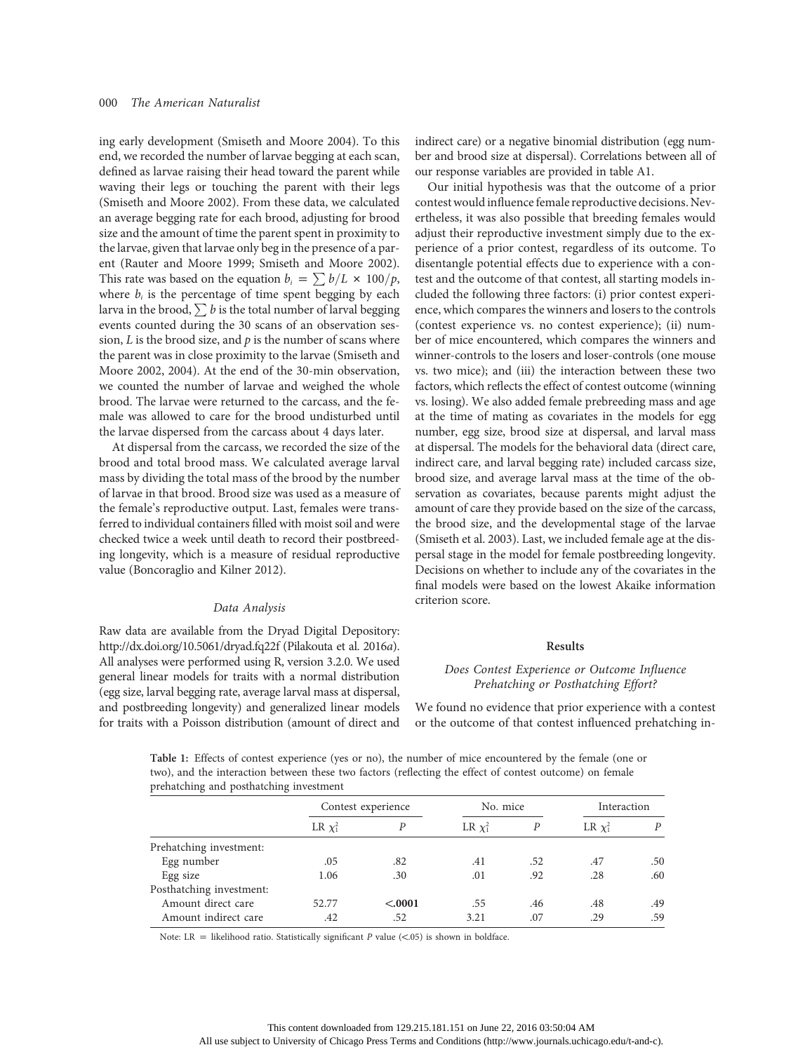ing early development (Smiseth and Moore 2004). To this end, we recorded the number of larvae begging at each scan, defined as larvae raising their head toward the parent while waving their legs or touching the parent with their legs (Smiseth and Moore 2002). From these data, we calculated an average begging rate for each brood, adjusting for brood size and the amount of time the parent spent in proximity to the larvae, given that larvae only beg in the presence of a parent (Rauter and Moore 1999; Smiseth and Moore 2002). This rate was based on the equation  $b_i = \sum b/L \times 100/p$ , where  $b_i$  is the percentage of time spent begging by each larva in the brood,  $\sum b$  is the total number of larval begging events counted during the 30 scans of an observation session,  $L$  is the brood size, and  $p$  is the number of scans where the parent was in close proximity to the larvae (Smiseth and Moore 2002, 2004). At the end of the 30-min observation, we counted the number of larvae and weighed the whole brood. The larvae were returned to the carcass, and the female was allowed to care for the brood undisturbed until the larvae dispersed from the carcass about 4 days later.

At dispersal from the carcass, we recorded the size of the brood and total brood mass. We calculated average larval mass by dividing the total mass of the brood by the number of larvae in that brood. Brood size was used as a measure of the female's reproductive output. Last, females were transferred to individual containers filled with moist soil and were checked twice a week until death to record their postbreeding longevity, which is a measure of residual reproductive value (Boncoraglio and Kilner 2012).

#### Data Analysis

Raw data are available from the Dryad Digital Depository: http://dx.doi.org/10.5061/dryad.fq22f (Pilakouta et al. 2016a). All analyses were performed using R, version 3.2.0. We used general linear models for traits with a normal distribution (egg size, larval begging rate, average larval mass at dispersal, and postbreeding longevity) and generalized linear models for traits with a Poisson distribution (amount of direct and indirect care) or a negative binomial distribution (egg number and brood size at dispersal). Correlations between all of our response variables are provided in table A1.

Our initial hypothesis was that the outcome of a prior contest would influence female reproductive decisions. Nevertheless, it was also possible that breeding females would adjust their reproductive investment simply due to the experience of a prior contest, regardless of its outcome. To disentangle potential effects due to experience with a contest and the outcome of that contest, all starting models included the following three factors: (i) prior contest experience, which compares the winners and losers to the controls (contest experience vs. no contest experience); (ii) number of mice encountered, which compares the winners and winner-controls to the losers and loser-controls (one mouse vs. two mice); and (iii) the interaction between these two factors, which reflects the effect of contest outcome (winning vs. losing). We also added female prebreeding mass and age at the time of mating as covariates in the models for egg number, egg size, brood size at dispersal, and larval mass at dispersal. The models for the behavioral data (direct care, indirect care, and larval begging rate) included carcass size, brood size, and average larval mass at the time of the observation as covariates, because parents might adjust the amount of care they provide based on the size of the carcass, the brood size, and the developmental stage of the larvae (Smiseth et al. 2003). Last, we included female age at the dispersal stage in the model for female postbreeding longevity. Decisions on whether to include any of the covariates in the final models were based on the lowest Akaike information criterion score.

#### Results

## Does Contest Experience or Outcome Influence Prehatching or Posthatching Effort?

We found no evidence that prior experience with a contest or the outcome of that contest influenced prehatching in-

Table 1: Effects of contest experience (yes or no), the number of mice encountered by the female (one or two), and the interaction between these two factors (reflecting the effect of contest outcome) on female prehatching and posthatching investment

|                          | Contest experience |         | No. mice      |     | Interaction   |     |
|--------------------------|--------------------|---------|---------------|-----|---------------|-----|
|                          | LR $\chi_1^2$      | P       | LR $\chi_1^2$ |     | LR $\chi_1^2$ |     |
| Prehatching investment:  |                    |         |               |     |               |     |
| Egg number               | .05                | .82     | .41           | .52 | .47           | .50 |
| Egg size                 | 1.06               | .30     | .01           | .92 | .28           | .60 |
| Posthatching investment: |                    |         |               |     |               |     |
| Amount direct care       | 52.77              | < .0001 | .55           | .46 | .48           | .49 |
| Amount indirect care     | .42                | .52     | 3.21          | .07 | .29           | .59 |

Note: LR = likelihood ratio. Statistically significant P value (<.05) is shown in boldface.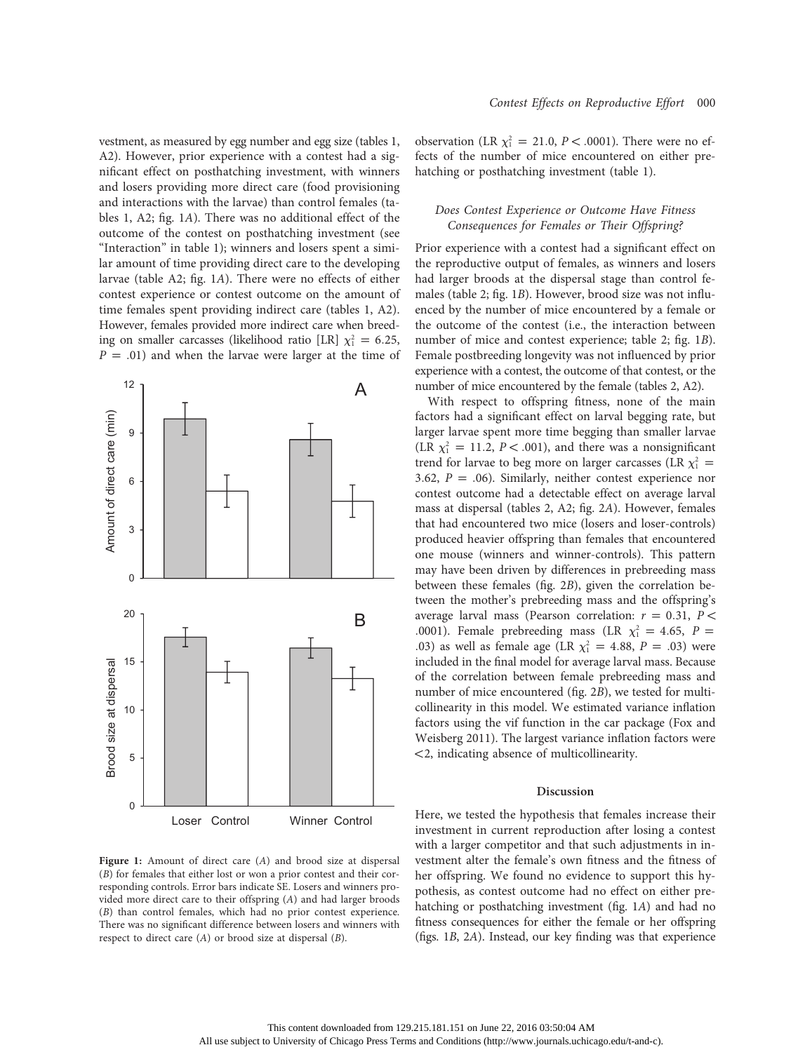vestment, as measured by egg number and egg size (tables 1, A2). However, prior experience with a contest had a significant effect on posthatching investment, with winners and losers providing more direct care (food provisioning and interactions with the larvae) than control females (tables 1, A2; fig. 1A). There was no additional effect of the outcome of the contest on posthatching investment (see "Interaction" in table 1); winners and losers spent a similar amount of time providing direct care to the developing larvae (table A2; fig. 1A). There were no effects of either contest experience or contest outcome on the amount of time females spent providing indirect care (tables 1, A2). However, females provided more indirect care when breeding on smaller carcasses (likelihood ratio [LR]  $\chi_1^2 = 6.25$ ,  $P = .01$ ) and when the larvae were larger at the time of



Figure 1: Amount of direct care (A) and brood size at dispersal (B) for females that either lost or won a prior contest and their corresponding controls. Error bars indicate SE. Losers and winners provided more direct care to their offspring (A) and had larger broods (B) than control females, which had no prior contest experience. There was no significant difference between losers and winners with respect to direct care  $(A)$  or brood size at dispersal  $(B)$ .

observation (LR  $\chi_1^2 = 21.0, P < .0001$ ). There were no effects of the number of mice encountered on either prehatching or posthatching investment (table 1).

## Does Contest Experience or Outcome Have Fitness Consequences for Females or Their Offspring?

Prior experience with a contest had a significant effect on the reproductive output of females, as winners and losers had larger broods at the dispersal stage than control females (table 2; fig. 1B). However, brood size was not influenced by the number of mice encountered by a female or the outcome of the contest (i.e., the interaction between number of mice and contest experience; table 2; fig. 1B). Female postbreeding longevity was not influenced by prior experience with a contest, the outcome of that contest, or the number of mice encountered by the female (tables 2, A2).

With respect to offspring fitness, none of the main factors had a significant effect on larval begging rate, but larger larvae spent more time begging than smaller larvae  $(LR \t<sub>1</sub><sup>2</sup>) = 11.2, P < .001$ ), and there was a nonsignificant trend for larvae to beg more on larger carcasses (LR  $\chi^2_1$  = 3.62,  $P = .06$ ). Similarly, neither contest experience nor contest outcome had a detectable effect on average larval mass at dispersal (tables 2, A2; fig. 2A). However, females that had encountered two mice (losers and loser-controls) produced heavier offspring than females that encountered one mouse (winners and winner-controls). This pattern may have been driven by differences in prebreeding mass between these females (fig. 2B), given the correlation between the mother's prebreeding mass and the offspring's average larval mass (Pearson correlation:  $r = 0.31$ ,  $P <$ .0001). Female prebreeding mass (LR  $\chi_1^2 = 4.65$ ,  $P =$ .03) as well as female age (LR  $\chi_1^2 = 4.88, P = .03$ ) were included in the final model for average larval mass. Because of the correlation between female prebreeding mass and number of mice encountered (fig. 2B), we tested for multicollinearity in this model. We estimated variance inflation factors using the vif function in the car package (Fox and Weisberg 2011). The largest variance inflation factors were !2, indicating absence of multicollinearity.

#### Discussion

Here, we tested the hypothesis that females increase their investment in current reproduction after losing a contest with a larger competitor and that such adjustments in investment alter the female's own fitness and the fitness of her offspring. We found no evidence to support this hypothesis, as contest outcome had no effect on either prehatching or posthatching investment (fig. 1A) and had no fitness consequences for either the female or her offspring (figs. 1B, 2A). Instead, our key finding was that experience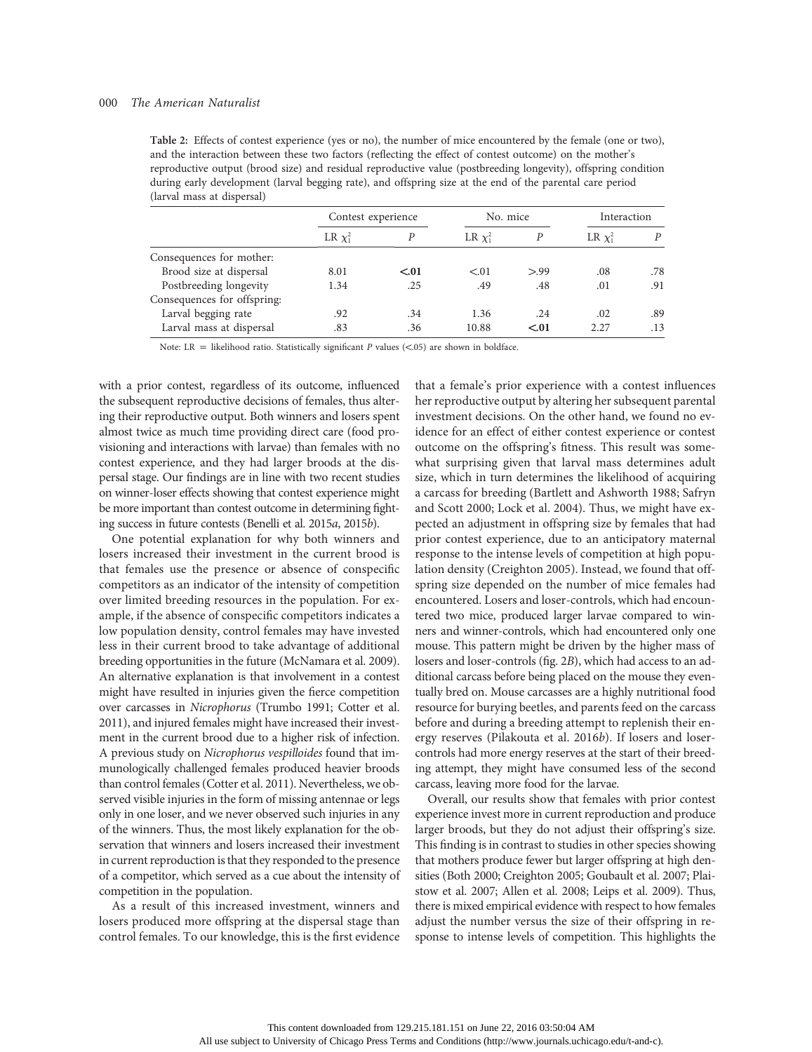### 000 The American Naturalist

Table 2: Effects of contest experience (yes or no), the number of mice encountered by the female (one or two), and the interaction between these two factors (reflecting the effect of contest outcome) on the mother's reproductive output (brood size) and residual reproductive value (postbreeding longevity), offspring condition during early development (larval begging rate), and offspring size at the end of the parental care period (larval mass at dispersal)

|                             | Contest experience |      | No. mice      |      | Interaction   |     |
|-----------------------------|--------------------|------|---------------|------|---------------|-----|
|                             | LR $\chi_1^2$      |      | LR $\chi_1^2$ |      | LR $\chi_1^2$ |     |
| Consequences for mother:    |                    |      |               |      |               |     |
| Brood size at dispersal     | 8.01               | < 01 | < 0.01        | > 99 | .08           | .78 |
| Postbreeding longevity      | 1.34               | .25  | .49           | .48  | .01           | .91 |
| Consequences for offspring: |                    |      |               |      |               |     |
| Larval begging rate         | .92                | .34  | 1.36          | .24  | .02           | .89 |
| Larval mass at dispersal    | .83                | .36  | 10.88         | < 01 | 2.27          | .13 |

Note: LR = likelihood ratio. Statistically significant P values ( $\lt$ .05) are shown in boldface.

with a prior contest, regardless of its outcome, influenced the subsequent reproductive decisions of females, thus altering their reproductive output. Both winners and losers spent almost twice as much time providing direct care (food provisioning and interactions with larvae) than females with no contest experience, and they had larger broods at the dispersal stage. Our findings are in line with two recent studies on winner-loser effects showing that contest experience might be more important than contest outcome in determining fighting success in future contests (Benelli et al. 2015a, 2015b).

One potential explanation for why both winners and losers increased their investment in the current brood is that females use the presence or absence of conspecific competitors as an indicator of the intensity of competition over limited breeding resources in the population. For example, if the absence of conspecific competitors indicates a low population density, control females may have invested less in their current brood to take advantage of additional breeding opportunities in the future (McNamara et al. 2009). An alternative explanation is that involvement in a contest might have resulted in injuries given the fierce competition over carcasses in Nicrophorus (Trumbo 1991; Cotter et al. 2011), and injured females might have increased their investment in the current brood due to a higher risk of infection. A previous study on Nicrophorus vespilloides found that immunologically challenged females produced heavier broods than control females (Cotter et al. 2011). Nevertheless, we observed visible injuries in the form of missing antennae or legs only in one loser, and we never observed such injuries in any of the winners. Thus, the most likely explanation for the observation that winners and losers increased their investment in current reproduction is that they responded to the presence of a competitor, which served as a cue about the intensity of competition in the population.

As a result of this increased investment, winners and losers produced more offspring at the dispersal stage than control females. To our knowledge, this is the first evidence that a female's prior experience with a contest influences her reproductive output by altering her subsequent parental investment decisions. On the other hand, we found no evidence for an effect of either contest experience or contest outcome on the offspring's fitness. This result was somewhat surprising given that larval mass determines adult size, which in turn determines the likelihood of acquiring a carcass for breeding (Bartlett and Ashworth 1988; Safryn and Scott 2000; Lock et al. 2004). Thus, we might have expected an adjustment in offspring size by females that had prior contest experience, due to an anticipatory maternal response to the intense levels of competition at high population density (Creighton 2005). Instead, we found that offspring size depended on the number of mice females had encountered. Losers and loser-controls, which had encountered two mice, produced larger larvae compared to winners and winner-controls, which had encountered only one mouse. This pattern might be driven by the higher mass of losers and loser-controls (fig. 2B), which had access to an additional carcass before being placed on the mouse they eventually bred on. Mouse carcasses are a highly nutritional food resource for burying beetles, and parents feed on the carcass before and during a breeding attempt to replenish their energy reserves (Pilakouta et al. 2016b). If losers and losercontrols had more energy reserves at the start of their breeding attempt, they might have consumed less of the second carcass, leaving more food for the larvae.

Overall, our results show that females with prior contest experience invest more in current reproduction and produce larger broods, but they do not adjust their offspring's size. This finding is in contrast to studies in other species showing that mothers produce fewer but larger offspring at high densities (Both 2000; Creighton 2005; Goubault et al. 2007; Plaistow et al. 2007; Allen et al. 2008; Leips et al. 2009). Thus, there is mixed empirical evidence with respect to how females adjust the number versus the size of their offspring in response to intense levels of competition. This highlights the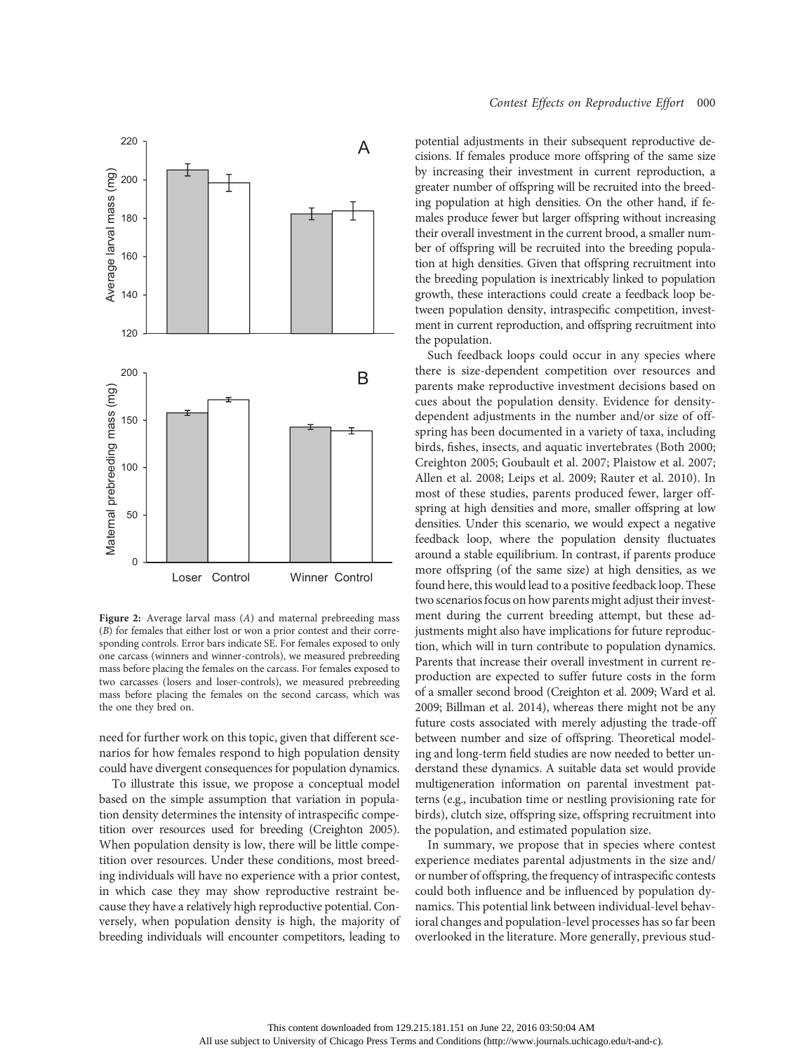



Figure 2: Average larval mass (A) and maternal prebreeding mass (B) for females that either lost or won a prior contest and their corresponding controls. Error bars indicate SE. For females exposed to only one carcass (winners and winner-controls), we measured prebreeding mass before placing the females on the carcass. For females exposed to two carcasses (losers and loser-controls), we measured prebreeding mass before placing the females on the second carcass, which was the one they bred on.

need for further work on this topic, given that different scenarios for how females respond to high population density could have divergent consequences for population dynamics.

To illustrate this issue, we propose a conceptual model based on the simple assumption that variation in population density determines the intensity of intraspecific competition over resources used for breeding (Creighton 2005). When population density is low, there will be little competition over resources. Under these conditions, most breeding individuals will have no experience with a prior contest, in which case they may show reproductive restraint because they have a relatively high reproductive potential. Conversely, when population density is high, the majority of breeding individuals will encounter competitors, leading to potential adjustments in their subsequent reproductive decisions. If females produce more offspring of the same size by increasing their investment in current reproduction, a greater number of offspring will be recruited into the breeding population at high densities. On the other hand, if females produce fewer but larger offspring without increasing their overall investment in the current brood, a smaller number of offspring will be recruited into the breeding population at high densities. Given that offspring recruitment into the breeding population is inextricably linked to population growth, these interactions could create a feedback loop between population density, intraspecific competition, investment in current reproduction, and offspring recruitment into the population.

Such feedback loops could occur in any species where there is size-dependent competition over resources and parents make reproductive investment decisions based on cues about the population density. Evidence for densitydependent adjustments in the number and/or size of offspring has been documented in a variety of taxa, including birds, fishes, insects, and aquatic invertebrates (Both 2000; Creighton 2005; Goubault et al. 2007; Plaistow et al. 2007; Allen et al. 2008; Leips et al. 2009; Rauter et al. 2010). In most of these studies, parents produced fewer, larger offspring at high densities and more, smaller offspring at low densities. Under this scenario, we would expect a negative feedback loop, where the population density fluctuates around a stable equilibrium. In contrast, if parents produce more offspring (of the same size) at high densities, as we found here, this would lead to a positive feedback loop. These two scenarios focus on how parents might adjust their investment during the current breeding attempt, but these adjustments might also have implications for future reproduction, which will in turn contribute to population dynamics. Parents that increase their overall investment in current reproduction are expected to suffer future costs in the form of a smaller second brood (Creighton et al. 2009; Ward et al. 2009; Billman et al. 2014), whereas there might not be any future costs associated with merely adjusting the trade-off between number and size of offspring. Theoretical modeling and long-term field studies are now needed to better understand these dynamics. A suitable data set would provide multigeneration information on parental investment patterns (e.g., incubation time or nestling provisioning rate for birds), clutch size, offspring size, offspring recruitment into the population, and estimated population size.

In summary, we propose that in species where contest experience mediates parental adjustments in the size and/ or number of offspring, the frequency of intraspecific contests could both influence and be influenced by population dynamics. This potential link between individual-level behavioral changes and population-level processes has so far been overlooked in the literature. More generally, previous stud-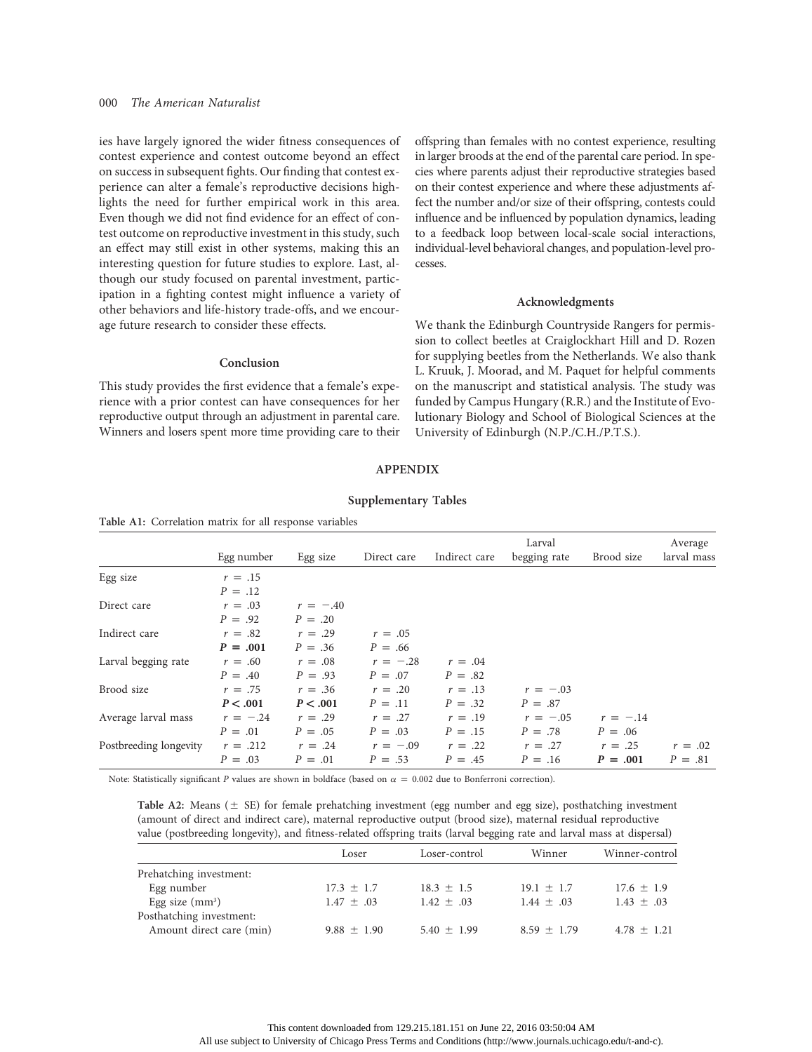## 000 The American Naturalist

ies have largely ignored the wider fitness consequences of contest experience and contest outcome beyond an effect on success in subsequent fights. Our finding that contest experience can alter a female's reproductive decisions highlights the need for further empirical work in this area. Even though we did not find evidence for an effect of contest outcome on reproductive investment in this study, such an effect may still exist in other systems, making this an interesting question for future studies to explore. Last, although our study focused on parental investment, participation in a fighting contest might influence a variety of other behaviors and life-history trade-offs, and we encourage future research to consider these effects.

#### Conclusion

This study provides the first evidence that a female's experience with a prior contest can have consequences for her reproductive output through an adjustment in parental care. Winners and losers spent more time providing care to their offspring than females with no contest experience, resulting in larger broods at the end of the parental care period. In species where parents adjust their reproductive strategies based on their contest experience and where these adjustments affect the number and/or size of their offspring, contests could influence and be influenced by population dynamics, leading to a feedback loop between local-scale social interactions, individual-level behavioral changes, and population-level processes.

#### Acknowledgments

We thank the Edinburgh Countryside Rangers for permission to collect beetles at Craiglockhart Hill and D. Rozen for supplying beetles from the Netherlands. We also thank L. Kruuk, J. Moorad, and M. Paquet for helpful comments on the manuscript and statistical analysis. The study was funded by Campus Hungary (R.R.) and the Institute of Evolutionary Biology and School of Biological Sciences at the University of Edinburgh (N.P./C.H./P.T.S.).

## APPENDIX

#### Supplementary Tables

Table A1: Correlation matrix for all response variables

|                        | Egg number | Egg size   | Direct care | Indirect care | Larval<br>begging rate | Brood size  | Average<br>larval mass |
|------------------------|------------|------------|-------------|---------------|------------------------|-------------|------------------------|
| Egg size               | $r = .15$  |            |             |               |                        |             |                        |
|                        | $P = .12$  |            |             |               |                        |             |                        |
| Direct care            | $r = .03$  | $r = -.40$ |             |               |                        |             |                        |
|                        | $P = .92$  | $P = .20$  |             |               |                        |             |                        |
| Indirect care          | $r = .82$  | $r = .29$  | $r = .05$   |               |                        |             |                        |
|                        | $P = .001$ | $P = .36$  | $P = .66$   |               |                        |             |                        |
| Larval begging rate    | $r = .60$  | $r = .08$  | $r = -.28$  | $r = .04$     |                        |             |                        |
|                        | $P = .40$  | $P = .93$  | $P = .07$   | $P = .82$     |                        |             |                        |
| Brood size             | $r = .75$  | $r = .36$  | $r = .20$   | $r = .13$     | $r = -0.03$            |             |                        |
|                        | P < .001   | P < .001   | $P = .11$   | $P = .32$     | $P = .87$              |             |                        |
| Average larval mass    | $r = -.24$ | $r = .29$  | $r = .27$   | $r = .19$     | $r = -.05$             | $r = -0.14$ |                        |
|                        | $P = .01$  | $P = .05$  | $P = .03$   | $P = .15$     | $P = .78$              | $P = .06$   |                        |
| Postbreeding longevity | $r = .212$ | $r = .24$  | $r = -.09$  | $r = .22$     | $r = .27$              | $r = .25$   | $r = .02$              |
|                        | $P = .03$  | $P = .01$  | $P = .53$   | $P = .45$     | $P = .16$              | $P = .001$  | $P = .81$              |

Note: Statistically significant P values are shown in boldface (based on  $\alpha = 0.002$  due to Bonferroni correction).

Table A2: Means  $(± SE)$  for female prehatching investment (egg number and egg size), posthatching investment (amount of direct and indirect care), maternal reproductive output (brood size), maternal residual reproductive value (postbreeding longevity), and fitness-related offspring traits (larval begging rate and larval mass at dispersal)

|                          | Loser           | Loser-control   | Winner          | Winner-control  |
|--------------------------|-----------------|-----------------|-----------------|-----------------|
| Prehatching investment:  |                 |                 |                 |                 |
| Egg number               | $17.3 \pm 1.7$  | $18.3 \pm 1.5$  | $19.1 \pm 1.7$  | $17.6 \pm 1.9$  |
| Egg size $(mm^3)$        | $1.47 \pm .03$  | $1.42 \pm .03$  | $1.44 \pm .03$  | $1.43 \pm .03$  |
| Posthatching investment: |                 |                 |                 |                 |
| Amount direct care (min) | $9.88 \pm 1.90$ | $5.40 \pm 1.99$ | $8.59 \pm 1.79$ | $4.78 \pm 1.21$ |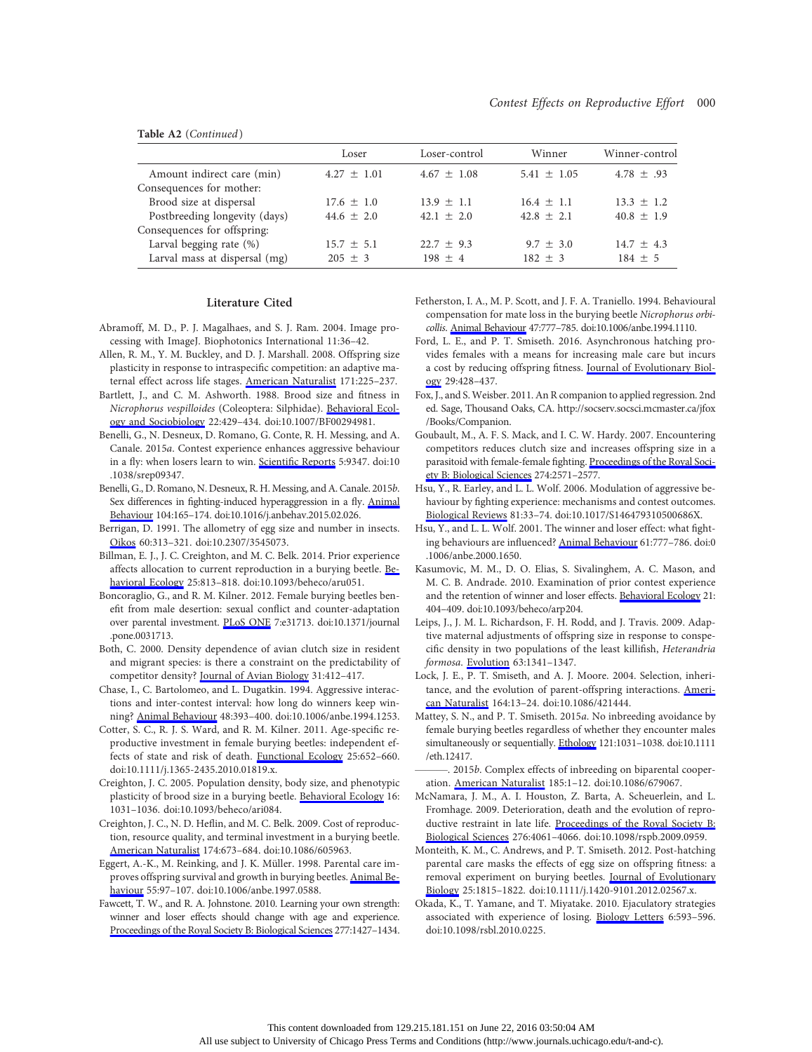|  | Table A2 (Continued) |
|--|----------------------|
|  |                      |

|                               | Loser           | Loser-control   | Winner          | Winner-control |
|-------------------------------|-----------------|-----------------|-----------------|----------------|
| Amount indirect care (min)    | $4.27 \pm 1.01$ | $4.67 \pm 1.08$ | $5.41 \pm 1.05$ | 4.78 $\pm$ .93 |
| Consequences for mother:      |                 |                 |                 |                |
| Brood size at dispersal       | $17.6 \pm 1.0$  | $13.9 \pm 1.1$  | $16.4 \pm 1.1$  | $13.3 \pm 1.2$ |
| Postbreeding longevity (days) | $44.6 \pm 2.0$  | $42.1 \pm 2.0$  | $42.8 \pm 2.1$  | $40.8 \pm 1.9$ |
| Consequences for offspring:   |                 |                 |                 |                |
| Larval begging rate $(\%)$    | $15.7 \pm 5.1$  | $22.7 \pm 9.3$  | $9.7 \pm 3.0$   | $14.7 \pm 4.3$ |
| Larval mass at dispersal (mg) | $205 \pm 3$     | $198 \pm 4$     | $182 \pm 3$     | $184 \pm 5$    |

#### Literature Cited

- Abramoff, M. D., P. J. Magalhaes, and S. J. Ram. 2004. Image processing with ImageJ. Biophotonics International 11:36–42.
- Allen, R. M., Y. M. Buckley, and D. J. Marshall. 2008. Offspring size plasticity in response to intraspecific competition: an adaptive maternal effect across life stages. [American Naturalist](http://www.journals.uchicago.edu/action/showLinks?system=10.1086%2F524952) 171:225–237.
- Bartlett, J., and C. M. Ashworth. 1988. Brood size and fitness in Nicrophorus vespilloides (Coleoptera: Silphidae). [Behavioral Ecol](http://www.journals.uchicago.edu/action/showLinks?crossref=10.1007%2FBF00294981)[ogy and Sociobiology](http://www.journals.uchicago.edu/action/showLinks?crossref=10.1007%2FBF00294981) 22:429–434. doi:10.1007/BF00294981.
- Benelli, G., N. Desneux, D. Romano, G. Conte, R. H. Messing, and A. Canale. 2015a. Contest experience enhances aggressive behaviour in a fly: when losers learn to win. Scientifi[c Reports](http://www.journals.uchicago.edu/action/showLinks?pmid=25792294&crossref=10.1038%2Fsrep09347) 5:9347. doi:10 .1038/srep09347.
- Benelli, G., D. Romano, N. Desneux, R. H. Messing, and A. Canale. 2015b. Sex differences in fighting-induced hyperaggression in a fly. [Animal](http://www.journals.uchicago.edu/action/showLinks?crossref=10.1016%2Fj.anbehav.2015.02.026) [Behaviour](http://www.journals.uchicago.edu/action/showLinks?crossref=10.1016%2Fj.anbehav.2015.02.026) 104:165–174. doi:10.1016/j.anbehav.2015.02.026.
- Berrigan, D. 1991. The allometry of egg size and number in insects. [Oikos](http://www.journals.uchicago.edu/action/showLinks?crossref=10.2307%2F3545073) 60:313–321. doi:10.2307/3545073.
- Billman, E. J., J. C. Creighton, and M. C. Belk. 2014. Prior experience affects allocation to current reproduction in a burying beetle. [Be](http://www.journals.uchicago.edu/action/showLinks?crossref=10.1093%2Fbeheco%2Faru051)[havioral Ecology](http://www.journals.uchicago.edu/action/showLinks?crossref=10.1093%2Fbeheco%2Faru051) 25:813–818. doi:10.1093/beheco/aru051.
- Boncoraglio, G., and R. M. Kilner. 2012. Female burying beetles benefit from male desertion: sexual conflict and counter-adaptation over parental investment. [PLoS ONE](http://www.journals.uchicago.edu/action/showLinks?pmid=22355390&crossref=10.1371%2Fjournal.pone.0031713) 7:e31713. doi:10.1371/journal .pone.0031713.
- Both, C. 2000. Density dependence of avian clutch size in resident and migrant species: is there a constraint on the predictability of competitor density? [Journal of Avian Biology](http://www.journals.uchicago.edu/action/showLinks?crossref=10.1034%2Fj.1600-048X.2000.310317.x) 31:412–417.
- Chase, I., C. Bartolomeo, and L. Dugatkin. 1994. Aggressive interactions and inter-contest interval: how long do winners keep winning? [Animal Behaviour](http://www.journals.uchicago.edu/action/showLinks?crossref=10.1006%2Fanbe.1994.1253) 48:393–400. doi:10.1006/anbe.1994.1253.
- Cotter, S. C., R. J. S. Ward, and R. M. Kilner. 2011. Age-specific reproductive investment in female burying beetles: independent effects of state and risk of death. [Functional Ecology](http://www.journals.uchicago.edu/action/showLinks?crossref=10.1111%2Fj.1365-2435.2010.01819.x) 25:652–660. doi:10.1111/j.1365-2435.2010.01819.x.
- Creighton, J. C. 2005. Population density, body size, and phenotypic plasticity of brood size in a burying beetle. [Behavioral Ecology](http://www.journals.uchicago.edu/action/showLinks?crossref=10.1093%2Fbeheco%2Fari084) 16: 1031–1036. doi:10.1093/beheco/ari084.
- Creighton, J. C., N. D. Heflin, and M. C. Belk. 2009. Cost of reproduction, resource quality, and terminal investment in a burying beetle. [American Naturalist](http://www.journals.uchicago.edu/action/showLinks?system=10.1086%2F605963) 174:673–684. doi:10.1086/605963.
- Eggert, A.-K., M. Reinking, and J. K. Müller. 1998. Parental care improves offspring survival and growth in burying beetles. [Animal Be](http://www.journals.uchicago.edu/action/showLinks?pmid=9480676&crossref=10.1006%2Fanbe.1997.0588)[haviour](http://www.journals.uchicago.edu/action/showLinks?pmid=9480676&crossref=10.1006%2Fanbe.1997.0588) 55:97–107. doi:10.1006/anbe.1997.0588.
- Fawcett, T. W., and R. A. Johnstone. 2010. Learning your own strength: winner and loser effects should change with age and experience. [Proceedings of the Royal Society B: Biological Sciences](http://www.journals.uchicago.edu/action/showLinks?pmid=20053644&crossref=10.1098%2Frspb.2009.2088) 277:1427–1434.

Fetherston, I. A., M. P. Scott, and J. F. A. Traniello. 1994. Behavioural compensation for mate loss in the burying beetle Nicrophorus orbicollis. [Animal Behaviour](http://www.journals.uchicago.edu/action/showLinks?crossref=10.1006%2Fanbe.1994.1110) 47:777–785. doi:10.1006/anbe.1994.1110.

- Ford, L. E., and P. T. Smiseth. 2016. Asynchronous hatching provides females with a means for increasing male care but incurs a cost by reducing offspring fitness. [Journal of Evolutionary Biol](http://www.journals.uchicago.edu/action/showLinks?pmid=26606605&crossref=10.1111%2Fjeb.12797)[ogy](http://www.journals.uchicago.edu/action/showLinks?pmid=26606605&crossref=10.1111%2Fjeb.12797) 29:428–437.
- Fox, J., and S.Weisber. 2011. An R companion to applied regression. 2nd ed. Sage, Thousand Oaks, CA. http://socserv.socsci.mcmaster.ca/jfox /Books/Companion.
- Goubault, M., A. F. S. Mack, and I. C. W. Hardy. 2007. Encountering competitors reduces clutch size and increases offspring size in a parasitoid with female-female fighting. [Proceedings of the Royal Soci](http://www.journals.uchicago.edu/action/showLinks?pmid=17698482&crossref=10.1098%2Frspb.2007.0867)[ety B: Biological Sciences](http://www.journals.uchicago.edu/action/showLinks?pmid=17698482&crossref=10.1098%2Frspb.2007.0867) 274:2571–2577.
- Hsu, Y., R. Earley, and L. L. Wolf. 2006. Modulation of aggressive behaviour by fighting experience: mechanisms and contest outcomes. [Biological Reviews](http://www.journals.uchicago.edu/action/showLinks?pmid=16460581&crossref=10.1017%2FS146479310500686X) 81:33–74. doi:10.1017/S146479310500686X.
- Hsu, Y., and L. L. Wolf. 2001. The winner and loser effect: what fighting behaviours are influenced? [Animal Behaviour](http://www.journals.uchicago.edu/action/showLinks?crossref=10.1006%2Fanbe.2000.1650) 61:777–786. doi:0 .1006/anbe.2000.1650.
- Kasumovic, M. M., D. O. Elias, S. Sivalinghem, A. C. Mason, and M. C. B. Andrade. 2010. Examination of prior contest experience and the retention of winner and loser effects. [Behavioral Ecology](http://www.journals.uchicago.edu/action/showLinks?pmid=22476369&crossref=10.1093%2Fbeheco%2Farp204) 21: 404–409. doi:10.1093/beheco/arp204.
- Leips, J., J. M. L. Richardson, F. H. Rodd, and J. Travis. 2009. Adaptive maternal adjustments of offspring size in response to conspecific density in two populations of the least killifish, Heterandria formosa. [Evolution](http://www.journals.uchicago.edu/action/showLinks?pmid=19425199&crossref=10.1111%2Fj.1558-5646.2009.00631.x) 63:1341–1347.
- Lock, J. E., P. T. Smiseth, and A. J. Moore. 2004. Selection, inheritance, and the evolution of parent-offspring interactions. [Ameri](http://www.journals.uchicago.edu/action/showLinks?system=10.1086%2F421444)[can Naturalist](http://www.journals.uchicago.edu/action/showLinks?system=10.1086%2F421444) 164:13–24. doi:10.1086/421444.
- Mattey, S. N., and P. T. Smiseth. 2015a. No inbreeding avoidance by female burying beetles regardless of whether they encounter males simultaneously or sequentially. [Ethology](http://www.journals.uchicago.edu/action/showLinks?crossref=10.1111%2Feth.12417) 121:1031–1038. doi:10.1111 /eth.12417.
- 2015b. Complex effects of inbreeding on biparental cooperation. [American Naturalist](http://www.journals.uchicago.edu/action/showLinks?system=10.1086%2F679067) 185:1–12. doi:10.1086/679067.
- McNamara, J. M., A. I. Houston, Z. Barta, A. Scheuerlein, and L. Fromhage. 2009. Deterioration, death and the evolution of reproductive restraint in late life. [Proceedings of the Royal Society B:](http://www.journals.uchicago.edu/action/showLinks?pmid=19726476&crossref=10.1098%2Frspb.2009.0959) [Biological Sciences](http://www.journals.uchicago.edu/action/showLinks?pmid=19726476&crossref=10.1098%2Frspb.2009.0959) 276:4061–4066. doi:10.1098/rspb.2009.0959.
- Monteith, K. M., C. Andrews, and P. T. Smiseth. 2012. Post-hatching parental care masks the effects of egg size on offspring fitness: a removal experiment on burying beetles. [Journal of Evolutionary](http://www.journals.uchicago.edu/action/showLinks?pmid=22775779&crossref=10.1111%2Fj.1420-9101.2012.02567.x) [Biology](http://www.journals.uchicago.edu/action/showLinks?pmid=22775779&crossref=10.1111%2Fj.1420-9101.2012.02567.x) 25:1815–1822. doi:10.1111/j.1420-9101.2012.02567.x.
- Okada, K., T. Yamane, and T. Miyatake. 2010. Ejaculatory strategies associated with experience of losing. [Biology Letters](http://www.journals.uchicago.edu/action/showLinks?pmid=20392718&crossref=10.1098%2Frsbl.2010.0225) 6:593–596. doi:10.1098/rsbl.2010.0225.